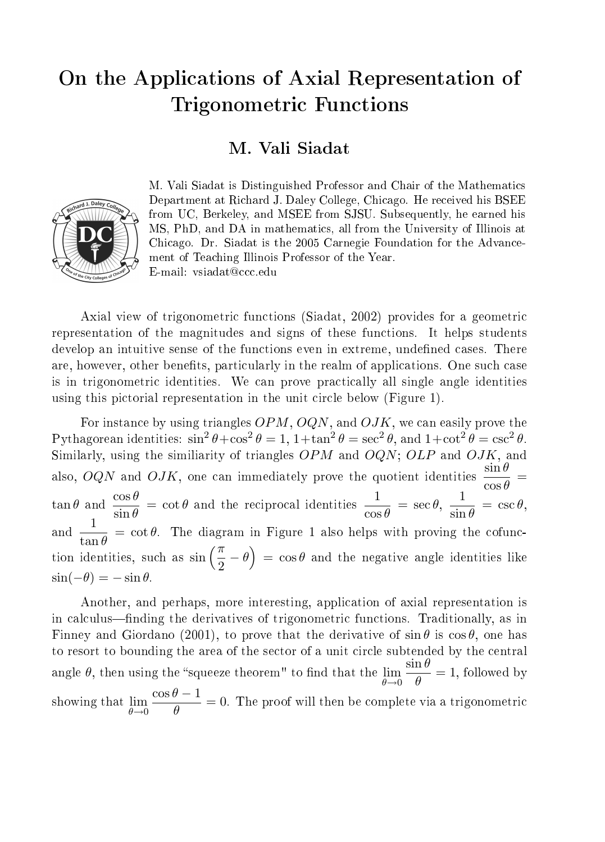## On the Applications of Axial Representation of Trigonometric Functions

#### M. Vali Siadat



M. Vali Siadat is Distinguished Professor and Chair of the Mathematics Department at Richard J. Daley College, Chicago. He received his BSEE from UC, Berkeley, and MSEE from SJSU. Subsequently, he earned his MS, PhD, and DA in mathematics, all from the University of Illinois at Chicago. Dr. Siadat is the 2005 Carnegie Foundation for the Advancement of Teaching Illinois Professor of the Year. E-mail: vsiadat@ccc.edu

Axial view of trigonometric functions (Siadat, 2002) provides for a geometric representation of the magnitudes and signs of these functions. It helps students develop an intuitive sense of the functions even in extreme, undefined cases. There are, however, other benefits, particularly in the realm of applications. One such case is in trigonometric identities. We can prove practically all single angle identities using this pictorial representation in the unit circle below (Figure 1).

For instance by using triangles  $OPM$ ,  $OQN$ , and  $OJK$ , we can easily prove the Pythagorean identities:  $\sin^2 \theta + \cos^2 \theta = 1$ ,  $1 + \tan^2 \theta = \sec^2 \theta$ , and  $1 + \cot^2 \theta = \csc^2 \theta$ . Similarly, using the similiarity of triangles  $OPM$  and  $OQN$ ;  $OLP$  and  $OJK$ , and also, OQN and OJK, one can immediately prove the quotient identities  $\frac{\sin \theta}{\cos \theta} =$  $\tan \theta$  and  $\frac{\cos \theta}{\sin \theta} = \cot \theta$  and the reciprocal identities  $\frac{1}{\cos \theta} = \sec \theta$ ,  $\frac{1}{\sin \theta}$  $\frac{1}{\sin \theta} = \csc \theta,$ and  $\frac{1}{\tan \theta} = \cot \theta$ . The diagram in Figure 1 also helps with proving the cofunction identities, such as  $\sin\left(\frac{\pi}{2} - \theta\right) = \cos\theta$  and the negative angle identities like  $\sin(-\theta) = -\sin\theta$ .

Another, and perhaps, more interesting, application of axial representation is in calculus—finding the derivatives of trigonometric functions. Traditionally, as in Finney and Giordano (2001), to prove that the derivative of  $\sin \theta$  is  $\cos \theta$ , one has to resort to bounding the area of the sector of a unit circle subtended by the central angle  $\theta$ , then using the "squeeze theorem" to find that the  $\lim_{\theta \to 0}$  $\sin \theta$  $\frac{d\mathbf{p}}{\theta} = 1$ , followed by showing that  $\lim_{\theta \to 0}$  $\cos\theta - 1$  $\frac{\partial f}{\partial \theta} = 0$ . The proof will then be complete via a trigonometric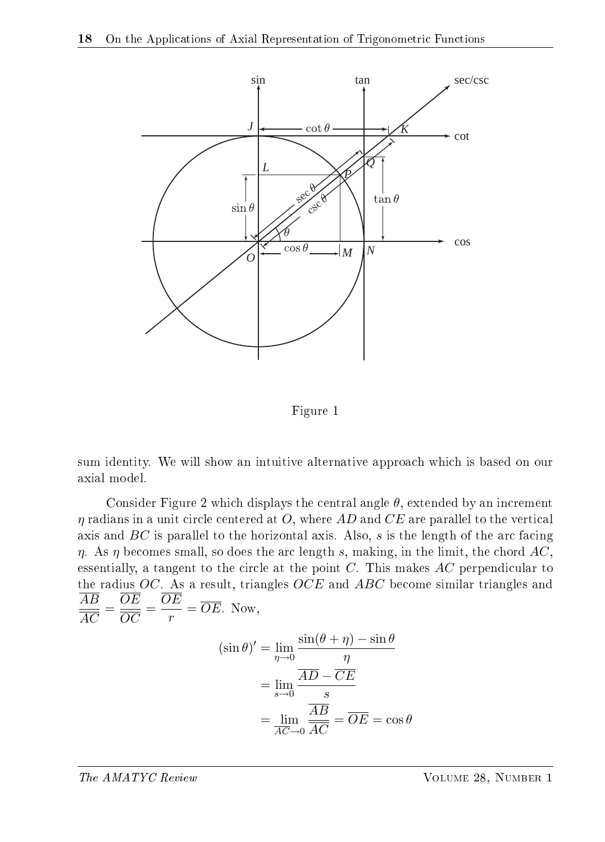

Figure 1

sum identity. We will show an intuitive alternative approach which is based on our axial model.

Consider Figure 2 which displays the central angle  $\theta$ , extended by an increment  $\eta$  radians in a unit circle centered at O, where AD and CE are parallel to the vertical axis and  $BC$  is parallel to the horizontal axis. Also,  $s$  is the length of the arc facing  $\eta$ . As  $\eta$  becomes small, so does the arc length s, making, in the limit, the chord AC, essentially, a tangent to the circle at the point  $C$ . This makes  $AC$  perpendicular to the radius OC. As a result, triangles OCE and ABC become similar triangles and AB AC  $=\frac{\overline{OE}}{\overline{OS}}$ OC  $=\frac{\overline{OE}}{2}$  $\frac{r}{r} = OE$ . Now,  $(\sin \theta)' = \lim_{\eta \to 0}$  $\sin(\theta + \eta) - \sin \theta$ η  $=$  lim  $\frac{\overline{AD} - \overline{CE}}{2}$ 

$$
= \lim_{s \to 0} \frac{s}{\frac{AB}{AC}} = \overline{OE} = \cos \theta
$$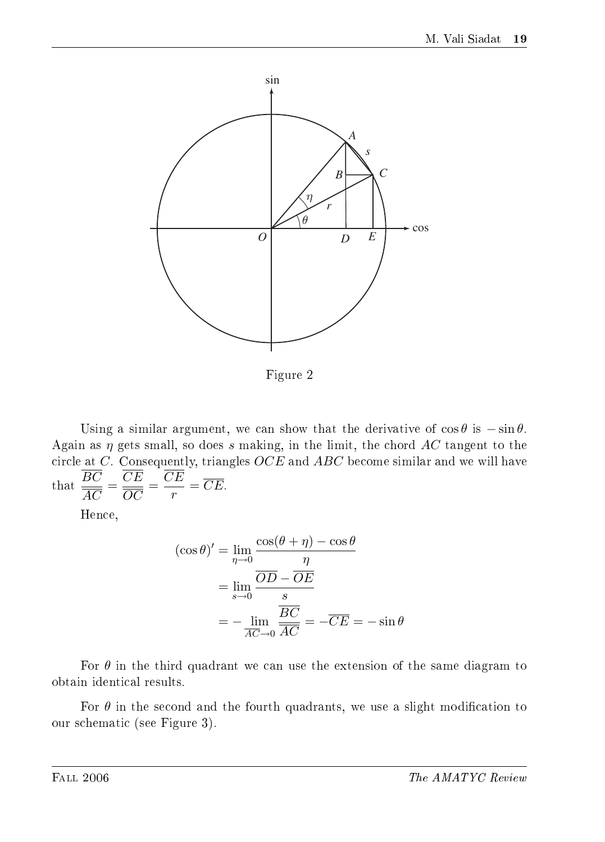

Figure 2

Using a similar argument, we can show that the derivative of  $\cos \theta$  is  $-\sin \theta$ . Again as  $\eta$  gets small, so does s making, in the limit, the chord AC tangent to the circle at  $C$ . Consequently, triangles  $OCE$  and  $ABC$  become similar and we will have that  $\frac{BC}{\sqrt{BC}}$ AC  $=\frac{CE}{\sqrt{2}}$ OC  $=\frac{CE}{E}$  $\frac{dE}{dr} = CE.$ 

Hence,

$$
(\cos \theta)' = \lim_{\eta \to 0} \frac{\cos(\theta + \eta) - \cos \theta}{\eta}
$$

$$
= \lim_{s \to 0} \frac{\overline{OD} - \overline{OE}}{s}
$$

$$
= -\lim_{\overline{AC} \to 0} \frac{\overline{BC}}{\overline{AC}} = -\overline{CE} = -\sin \theta
$$

For  $\theta$  in the third quadrant we can use the extension of the same diagram to obtain identical results.

For  $\theta$  in the second and the fourth quadrants, we use a slight modification to our schematic (see Figure 3).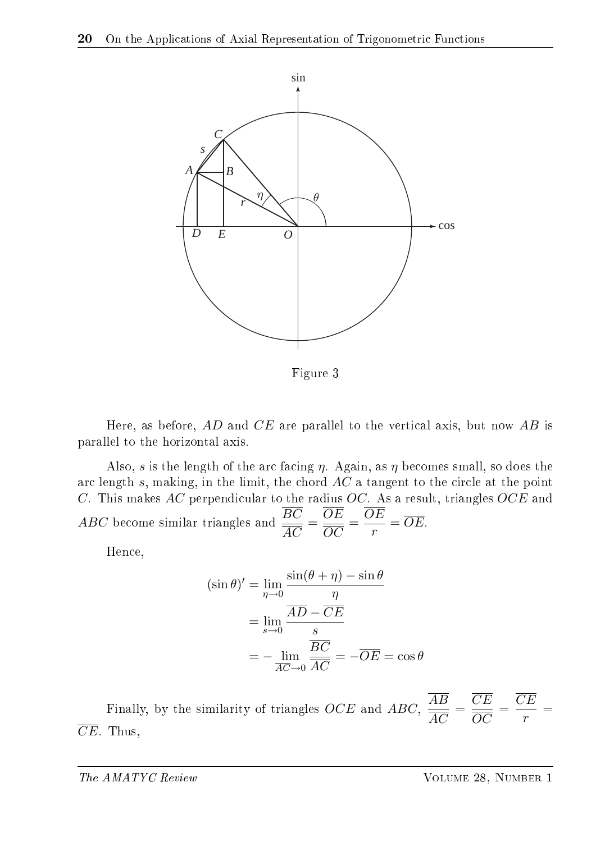

Figure 3

Here, as before,  $AD$  and  $CE$  are parallel to the vertical axis, but now  $AB$  is parallel to the horizontal axis.

Also, s is the length of the arc facing  $\eta$ . Again, as  $\eta$  becomes small, so does the arc length s, making, in the limit, the chord AC a tangent to the circle at the point C. This makes  $AC$  perpendicular to the radius  $OC$ . As a result, triangles  $OCE$  and ABC become similar triangles and  $\frac{BC}{\sqrt{BC}}$ AC  $=\frac{OE}{20}$ OC  $=\frac{OE}{\sqrt{2}}$  $\frac{E}{r} = OE.$ 

Hence,

$$
(\sin \theta)' = \lim_{\eta \to 0} \frac{\sin(\theta + \eta) - \sin \theta}{\eta}
$$

$$
= \lim_{s \to 0} \frac{\overline{AD} - \overline{CE}}{s}
$$

$$
= -\lim_{\overline{AC} \to 0} \frac{\overline{BC}}{\overline{AC}} = -\overline{OE} = \cos \theta
$$

Finally, by the similarity of triangles OCE and ABC,  $\frac{AB}{4\pi}$ AC  $=\frac{CE}{\sqrt{2}}$ OC  $=\frac{CE}{E}$  $\frac{1}{r}$  =  $\overline{CE}$ . Thus,